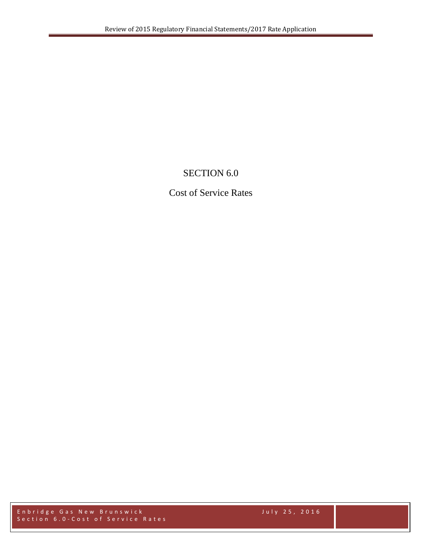# SECTION 6.0

# Cost of Service Rates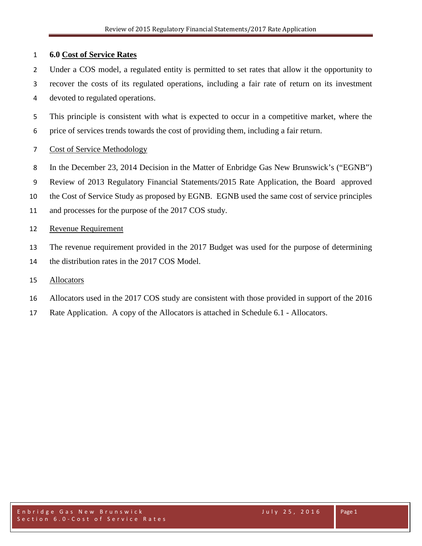#### **6.0 Cost of Service Rates**

- Under a COS model, a regulated entity is permitted to set rates that allow it the opportunity to
- recover the costs of its regulated operations, including a fair rate of return on its investment devoted to regulated operations.
- This principle is consistent with what is expected to occur in a competitive market, where the price of services trends towards the cost of providing them, including a fair return.
- Cost of Service Methodology
- In the December 23, 2014 Decision in the Matter of Enbridge Gas New Brunswick's ("EGNB")
- Review of 2013 Regulatory Financial Statements/2015 Rate Application, the Board approved
- the Cost of Service Study as proposed by EGNB. EGNB used the same cost of service principles
- and processes for the purpose of the 2017 COS study.

### Revenue Requirement

- The revenue requirement provided in the 2017 Budget was used for the purpose of determining
- the distribution rates in the 2017 COS Model.

### Allocators

- Allocators used in the 2017 COS study are consistent with those provided in support of the 2016
- Rate Application. A copy of the Allocators is attached in Schedule 6.1 Allocators.